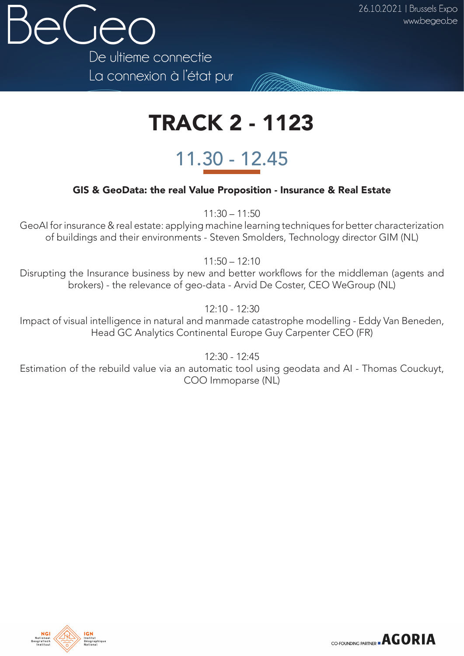

## TRACK 2 - 1123

## 11.30 - 12.45

## GIS & GeoData: the real Value Proposition - Insurance & Real Estate

11:30 – 11:50

GeoAI for insurance & real estate: applying machine learning techniques for better characterization of buildings and their environments - Steven Smolders, Technology director GIM (NL)

 $11:50 - 12:10$ 

Disrupting the Insurance business by new and better workflows for the middleman (agents and brokers) - the relevance of geo-data - Arvid De Coster, CEO WeGroup (NL)

12:10 - 12:30

Impact of visual intelligence in natural and manmade catastrophe modelling - Eddy Van Beneden, Head GC Analytics Continental Europe Guy Carpenter CEO (FR)

12:30 - 12:45

Estimation of the rebuild value via an automatic tool using geodata and AI - Thomas Couckuyt, COO Immoparse (NL)